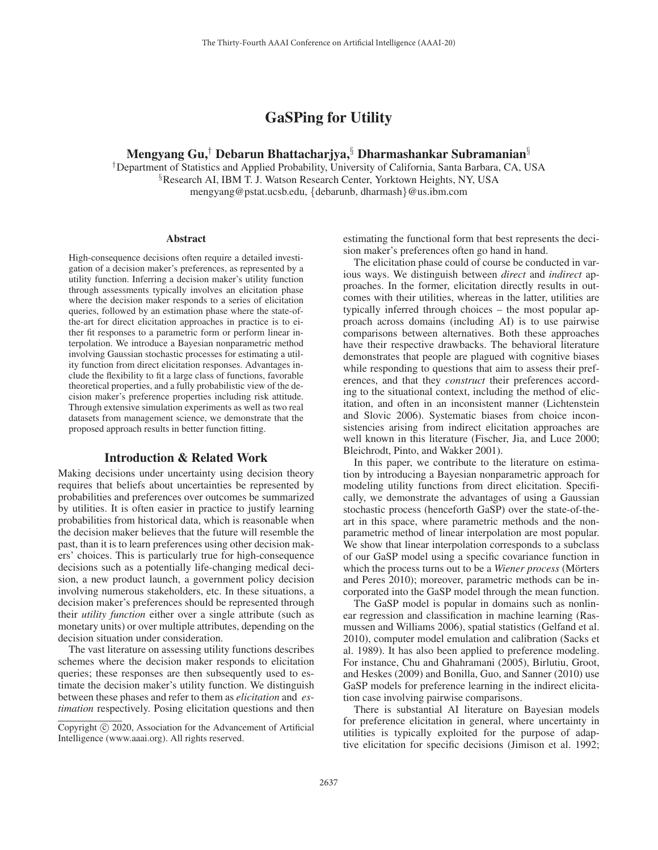# GaSPing for Utility

## Mengyang Gu,<sup>†</sup> Debarun Bhattacharjya, <sup>§</sup> Dharmashankar Subramanian<sup>§</sup>

†Department of Statistics and Applied Probability, University of California, Santa Barbara, CA, USA §Research AI, IBM T. J. Watson Research Center, Yorktown Heights, NY, USA mengyang@pstat.ucsb.edu, {debarunb, dharmash}@us.ibm.com

#### **Abstract**

High-consequence decisions often require a detailed investigation of a decision maker's preferences, as represented by a utility function. Inferring a decision maker's utility function through assessments typically involves an elicitation phase where the decision maker responds to a series of elicitation queries, followed by an estimation phase where the state-ofthe-art for direct elicitation approaches in practice is to either fit responses to a parametric form or perform linear interpolation. We introduce a Bayesian nonparametric method involving Gaussian stochastic processes for estimating a utility function from direct elicitation responses. Advantages include the flexibility to fit a large class of functions, favorable theoretical properties, and a fully probabilistic view of the decision maker's preference properties including risk attitude. Through extensive simulation experiments as well as two real datasets from management science, we demonstrate that the proposed approach results in better function fitting.

### Introduction & Related Work

Making decisions under uncertainty using decision theory requires that beliefs about uncertainties be represented by probabilities and preferences over outcomes be summarized by utilities. It is often easier in practice to justify learning probabilities from historical data, which is reasonable when the decision maker believes that the future will resemble the past, than it is to learn preferences using other decision makers' choices. This is particularly true for high-consequence decisions such as a potentially life-changing medical decision, a new product launch, a government policy decision involving numerous stakeholders, etc. In these situations, a decision maker's preferences should be represented through their *utility function* either over a single attribute (such as monetary units) or over multiple attributes, depending on the decision situation under consideration.

The vast literature on assessing utility functions describes schemes where the decision maker responds to elicitation queries; these responses are then subsequently used to estimate the decision maker's utility function. We distinguish between these phases and refer to them as *elicitation* and *estimation* respectively. Posing elicitation questions and then estimating the functional form that best represents the decision maker's preferences often go hand in hand.

The elicitation phase could of course be conducted in various ways. We distinguish between *direct* and *indirect* approaches. In the former, elicitation directly results in outcomes with their utilities, whereas in the latter, utilities are typically inferred through choices – the most popular approach across domains (including AI) is to use pairwise comparisons between alternatives. Both these approaches have their respective drawbacks. The behavioral literature demonstrates that people are plagued with cognitive biases while responding to questions that aim to assess their preferences, and that they *construct* their preferences according to the situational context, including the method of elicitation, and often in an inconsistent manner (Lichtenstein and Slovic 2006). Systematic biases from choice inconsistencies arising from indirect elicitation approaches are well known in this literature (Fischer, Jia, and Luce 2000; Bleichrodt, Pinto, and Wakker 2001).

In this paper, we contribute to the literature on estimation by introducing a Bayesian nonparametric approach for modeling utility functions from direct elicitation. Specifically, we demonstrate the advantages of using a Gaussian stochastic process (henceforth GaSP) over the state-of-theart in this space, where parametric methods and the nonparametric method of linear interpolation are most popular. We show that linear interpolation corresponds to a subclass of our GaSP model using a specific covariance function in which the process turns out to be a *Wiener process* (Mörters and Peres 2010); moreover, parametric methods can be incorporated into the GaSP model through the mean function.

The GaSP model is popular in domains such as nonlinear regression and classification in machine learning (Rasmussen and Williams 2006), spatial statistics (Gelfand et al. 2010), computer model emulation and calibration (Sacks et al. 1989). It has also been applied to preference modeling. For instance, Chu and Ghahramani (2005), Birlutiu, Groot, and Heskes (2009) and Bonilla, Guo, and Sanner (2010) use GaSP models for preference learning in the indirect elicitation case involving pairwise comparisons.

There is substantial AI literature on Bayesian models for preference elicitation in general, where uncertainty in utilities is typically exploited for the purpose of adaptive elicitation for specific decisions (Jimison et al. 1992;

Copyright  $\odot$  2020, Association for the Advancement of Artificial Intelligence (www.aaai.org). All rights reserved.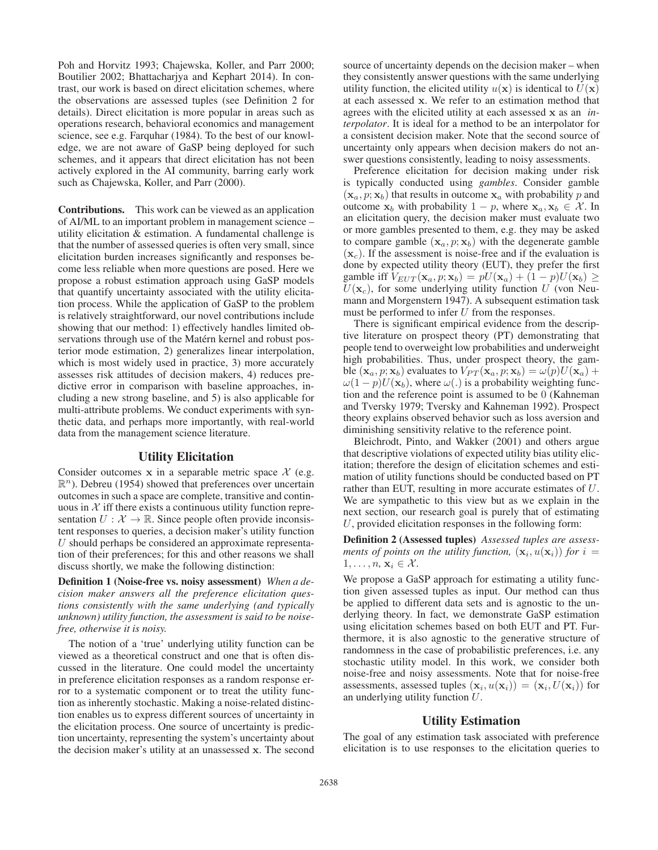Poh and Horvitz 1993; Chajewska, Koller, and Parr 2000; Boutilier 2002; Bhattacharjya and Kephart 2014). In contrast, our work is based on direct elicitation schemes, where the observations are assessed tuples (see Definition 2 for details). Direct elicitation is more popular in areas such as operations research, behavioral economics and management science, see e.g. Farquhar (1984). To the best of our knowledge, we are not aware of GaSP being deployed for such schemes, and it appears that direct elicitation has not been actively explored in the AI community, barring early work such as Chajewska, Koller, and Parr (2000).

Contributions. This work can be viewed as an application of AI/ML to an important problem in management science – utility elicitation & estimation. A fundamental challenge is that the number of assessed queries is often very small, since elicitation burden increases significantly and responses become less reliable when more questions are posed. Here we propose a robust estimation approach using GaSP models that quantify uncertainty associated with the utility elicitation process. While the application of GaSP to the problem is relatively straightforward, our novel contributions include showing that our method: 1) effectively handles limited observations through use of the Matérn kernel and robust posterior mode estimation, 2) generalizes linear interpolation, which is most widely used in practice, 3) more accurately assesses risk attitudes of decision makers, 4) reduces predictive error in comparison with baseline approaches, including a new strong baseline, and 5) is also applicable for multi-attribute problems. We conduct experiments with synthetic data, and perhaps more importantly, with real-world data from the management science literature.

#### Utility Elicitation

Consider outcomes  $x$  in a separable metric space  $\mathcal{X}$  (e.g.  $\mathbb{R}^n$ ). Debreu (1954) showed that preferences over uncertain outcomes in such a space are complete, transitive and continuous in  $X$  iff there exists a continuous utility function representation  $U : \mathcal{X} \to \mathbb{R}$ . Since people often provide inconsistent responses to queries, a decision maker's utility function  $U$  should perhaps be considered an approximate representation of their preferences; for this and other reasons we shall discuss shortly, we make the following distinction:

Definition 1 (Noise-free vs. noisy assessment) *When a decision maker answers all the preference elicitation questions consistently with the same underlying (and typically unknown) utility function, the assessment is said to be noisefree, otherwise it is noisy.*

The notion of a 'true' underlying utility function can be viewed as a theoretical construct and one that is often discussed in the literature. One could model the uncertainty in preference elicitation responses as a random response error to a systematic component or to treat the utility function as inherently stochastic. Making a noise-related distinction enables us to express different sources of uncertainty in the elicitation process. One source of uncertainty is prediction uncertainty, representing the system's uncertainty about the decision maker's utility at an unassessed **x**. The second

source of uncertainty depends on the decision maker – when they consistently answer questions with the same underlying utility function, the elicited utility  $u(\mathbf{x})$  is identical to  $U(\mathbf{x})$ at each assessed **x**. We refer to an estimation method that agrees with the elicited utility at each assessed **x** as an *interpolator*. It is ideal for a method to be an interpolator for a consistent decision maker. Note that the second source of uncertainty only appears when decision makers do not answer questions consistently, leading to noisy assessments.

Preference elicitation for decision making under risk is typically conducted using *gambles*. Consider gamble  $(\mathbf{x}_a, p; \mathbf{x}_b)$  that results in outcome  $\mathbf{x}_a$  with probability p and outcome  $x_b$  with probability  $1 - p$ , where  $x_a, x_b \in \mathcal{X}$ . In an elicitation query, the decision maker must evaluate two or more gambles presented to them, e.g. they may be asked to compare gamble  $(\mathbf{x}_a, p; \mathbf{x}_b)$  with the degenerate gamble  $(\mathbf{x}_c)$ . If the assessment is noise-free and if the evaluation is done by expected utility theory (EUT), they prefer the first gamble iff  $V_{EUT}(\mathbf{x}_a, p; \mathbf{x}_b) = pU(\mathbf{x}_a) + (1 - p)U(\mathbf{x}_b) \ge$  $U(\mathbf{x}_c)$ , for some underlying utility function U (von Neumann and Morgenstern 1947). A subsequent estimation task must be performed to infer  $U$  from the responses.

There is significant empirical evidence from the descriptive literature on prospect theory (PT) demonstrating that people tend to overweight low probabilities and underweight high probabilities. Thus, under prospect theory, the gamble  $(\mathbf{x}_a, p; \mathbf{x}_b)$  evaluates to  $V_{PT}(\mathbf{x}_a, p; \mathbf{x}_b) = \omega(p)U(\mathbf{x}_a) +$  $\omega(1-p)U(\mathbf{x}_b)$ , where  $\omega(.)$  is a probability weighting function and the reference point is assumed to be 0 (Kahneman and Tversky 1979; Tversky and Kahneman 1992). Prospect theory explains observed behavior such as loss aversion and diminishing sensitivity relative to the reference point.

Bleichrodt, Pinto, and Wakker (2001) and others argue that descriptive violations of expected utility bias utility elicitation; therefore the design of elicitation schemes and estimation of utility functions should be conducted based on PT rather than EUT, resulting in more accurate estimates of U. We are sympathetic to this view but as we explain in the next section, our research goal is purely that of estimating U, provided elicitation responses in the following form:

Definition 2 (Assessed tuples) *Assessed tuples are assessments of points on the utility function,*  $(\mathbf{x}_i, u(\mathbf{x}_i))$  *for*  $i =$  $1, \ldots, n, \mathbf{x}_i \in \mathcal{X}$ .

We propose a GaSP approach for estimating a utility function given assessed tuples as input. Our method can thus be applied to different data sets and is agnostic to the underlying theory. In fact, we demonstrate GaSP estimation using elicitation schemes based on both EUT and PT. Furthermore, it is also agnostic to the generative structure of randomness in the case of probabilistic preferences, i.e. any stochastic utility model. In this work, we consider both noise-free and noisy assessments. Note that for noise-free assessments, assessed tuples  $(\mathbf{x}_i, u(\mathbf{x}_i)) = (\mathbf{x}_i, U(\mathbf{x}_i))$  for an underlying utility function U.

#### Utility Estimation

The goal of any estimation task associated with preference elicitation is to use responses to the elicitation queries to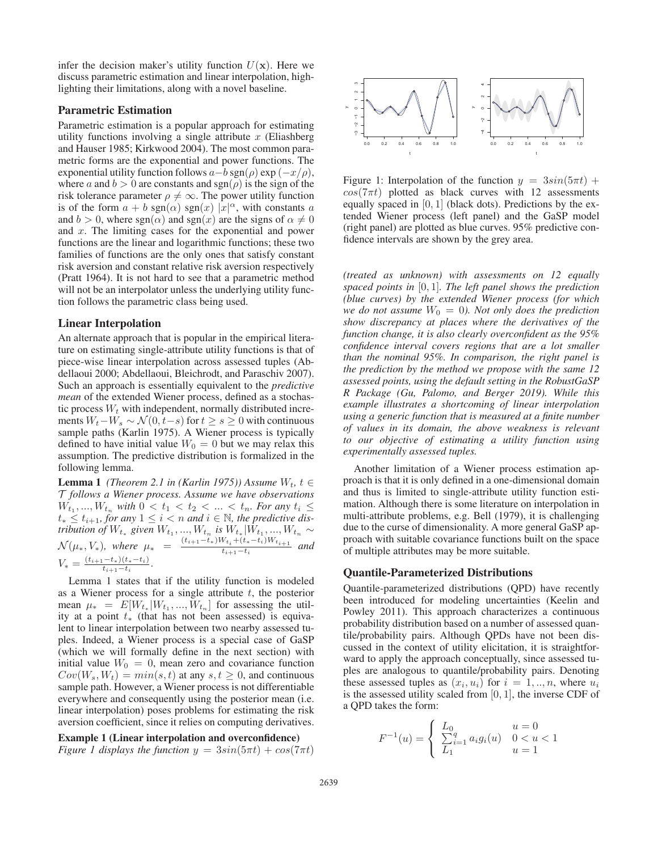infer the decision maker's utility function  $U(\mathbf{x})$ . Here we discuss parametric estimation and linear interpolation, highlighting their limitations, along with a novel baseline.

### Parametric Estimation

Parametric estimation is a popular approach for estimating utility functions involving a single attribute  $x$  (Eliashberg) and Hauser 1985; Kirkwood 2004). The most common parametric forms are the exponential and power functions. The exponential utility function follows  $a-b$  sgn( $\rho$ ) exp ( $-x/\rho$ ), where a and  $b > 0$  are constants and sgn( $\rho$ ) is the sign of the risk tolerance parameter  $\rho \neq \infty$ . The power utility function is of the form  $a + b \text{ sgn}(\alpha) \text{ sgn}(x) |x|^{\alpha}$ , with constants a and  $b > 0$ , where sgn( $\alpha$ ) and sgn(x) are the signs of  $\alpha \neq 0$ and  $x$ . The limiting cases for the exponential and power functions are the linear and logarithmic functions; these two families of functions are the only ones that satisfy constant risk aversion and constant relative risk aversion respectively (Pratt 1964). It is not hard to see that a parametric method will not be an interpolator unless the underlying utility function follows the parametric class being used.

#### Linear Interpolation

An alternate approach that is popular in the empirical literature on estimating single-attribute utility functions is that of piece-wise linear interpolation across assessed tuples (Abdellaoui 2000; Abdellaoui, Bleichrodt, and Paraschiv 2007). Such an approach is essentially equivalent to the *predictive mean* of the extended Wiener process, defined as a stochastic process  $W_t$  with independent, normally distributed increments  $W_t-W_s \sim \mathcal{N}(0,t-s)$  for  $t \geq s \geq 0$  with continuous sample paths (Karlin 1975). A Wiener process is typically defined to have initial value  $W_0 = 0$  but we may relax this assumption. The predictive distribution is formalized in the following lemma.

**Lemma 1** *(Theorem 2.1 in (Karlin 1975)) Assume*  $W_t$ ,  $t \in$ T *follows a Wiener process. Assume we have observations*  $W_{t_1}, ..., W_{t_n}$  with  $0 < t_1 < t_2 < ... < t_n$ . For any  $t_i \le$  $t_* ≤ t_{i+1}$ , for any  $1 ≤ i < n$  and  $i ∈ ℕ$ , the predictive dis*tribution of*  $W_{t_*}$  *given*  $W_{t_1}, ..., W_{t_n}$  *is*  $W_{t_*}$   $|W_{t_1}, ..., W_{t_n}$  ∼  $\mathcal{N}(\mu_*, V_*)$ , where  $\mu_* = \frac{(t_{i+1}-t_*)W_{t_i}+(t_*-t_i)W_{t_{i+1}}}{t_{i+1}-t_i}$  and  $V_* = \frac{(t_{i+1}-t_*)(t_*-t_i)}{t_{i+1}-t_i}.$ 

Lemma 1 states that if the utility function is modeled as a Wiener process for a single attribute  $t$ , the posterior mean  $\mu_* = E[W_{t_*} | W_{t_1}, ..., W_{t_n}]$  for assessing the utility at a point  $t_{\ast}$  (that has not been assessed) is equivalent to linear interpolation between two nearby assessed tuples. Indeed, a Wiener process is a special case of GaSP (which we will formally define in the next section) with initial value  $W_0 = 0$ , mean zero and covariance function  $Cov(W_s, W_t) = min(s, t)$  at any  $s, t \geq 0$ , and continuous sample path. However, a Wiener process is not differentiable everywhere and consequently using the posterior mean (i.e. linear interpolation) poses problems for estimating the risk aversion coefficient, since it relies on computing derivatives.

### Example 1 (Linear interpolation and overconfidence) *Figure 1 displays the function*  $y = 3sin(5\pi t) + cos(7\pi t)$



Figure 1: Interpolation of the function  $y = 3sin(5\pi t) +$  $cos(7\pi t)$  plotted as black curves with 12 assessments equally spaced in  $[0, 1]$  (black dots). Predictions by the extended Wiener process (left panel) and the GaSP model (right panel) are plotted as blue curves. 95% predictive confidence intervals are shown by the grey area.

*(treated as unknown) with assessments on 12 equally spaced points in* [0, 1]*. The left panel shows the prediction (blue curves) by the extended Wiener process (for which we do not assume*  $W_0 = 0$ *). Not only does the prediction show discrepancy at places where the derivatives of the function change, it is also clearly overconfident as the 95% confidence interval covers regions that are a lot smaller than the nominal 95%. In comparison, the right panel is the prediction by the method we propose with the same 12 assessed points, using the default setting in the RobustGaSP R Package (Gu, Palomo, and Berger 2019). While this example illustrates a shortcoming of linear interpolation using a generic function that is measured at a finite number of values in its domain, the above weakness is relevant to our objective of estimating a utility function using experimentally assessed tuples.*

Another limitation of a Wiener process estimation approach is that it is only defined in a one-dimensional domain and thus is limited to single-attribute utility function estimation. Although there is some literature on interpolation in multi-attribute problems, e.g. Bell (1979), it is challenging due to the curse of dimensionality. A more general GaSP approach with suitable covariance functions built on the space of multiple attributes may be more suitable.

### Quantile-Parameterized Distributions

Quantile-parameterized distributions (QPD) have recently been introduced for modeling uncertainties (Keelin and Powley 2011). This approach characterizes a continuous probability distribution based on a number of assessed quantile/probability pairs. Although QPDs have not been discussed in the context of utility elicitation, it is straightforward to apply the approach conceptually, since assessed tuples are analogous to quantile/probability pairs. Denoting these assessed tuples as  $(x_i, u_i)$  for  $i = 1, ..., n$ , where  $u_i$ is the assessed utility scaled from  $[0, 1]$ , the inverse CDF of a QPD takes the form:

$$
F^{-1}(u) = \begin{cases} L_0 & u = 0\\ \sum_{i=1}^q a_i g_i(u) & 0 < u < 1\\ L_1 & u = 1 \end{cases}
$$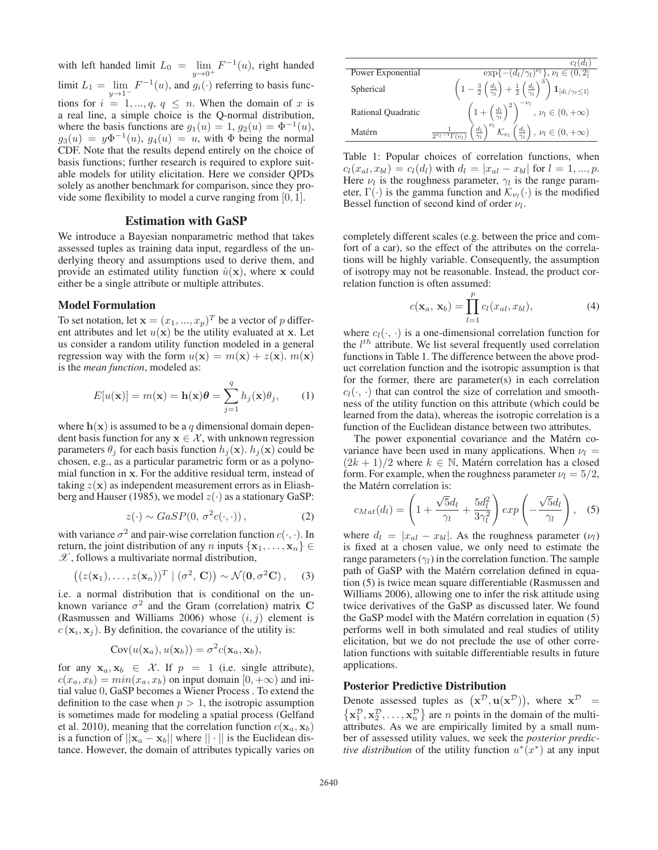with left handed limit  $L_0 = \lim_{y \to 0^+} F^{-1}(u)$ , right handed limit  $L_1 = \lim_{y \to 1^{-}} F^{-1}(u)$ , and  $g_i(\cdot)$  referring to basis functions for  $i = 1, ..., q, q \leq n$ . When the domain of x is a real line, a simple choice is the Q-normal distribution, where the basis functions are  $g_1(u)=1, g_2(u)=\Phi^{-1}(u)$ ,  $g_3(u) = y\Phi^{-1}(u)$ ,  $g_4(u) = u$ , with  $\Phi$  being the normal CDF. Note that the results depend entirely on the choice of basis functions; further research is required to explore suitable models for utility elicitation. Here we consider QPDs solely as another benchmark for comparison, since they provide some flexibility to model a curve ranging from [0, 1].

### Estimation with GaSP

We introduce a Bayesian nonparametric method that takes assessed tuples as training data input, regardless of the underlying theory and assumptions used to derive them, and provide an estimated utility function  $\hat{u}(\mathbf{x})$ , where **x** could either be a single attribute or multiple attributes.

#### Model Formulation

To set notation, let  $\mathbf{x} = (x_1, ..., x_p)^T$  be a vector of p different attributes and let  $u(\mathbf{x})$  be the utility evaluated at **x**. Let us consider a random utility function modeled in a general regression way with the form  $u(\mathbf{x}) = m(\mathbf{x}) + z(\mathbf{x})$ .  $m(\mathbf{x})$ is the *mean function*, modeled as:

$$
E[u(\mathbf{x})] = m(\mathbf{x}) = \mathbf{h}(\mathbf{x})\boldsymbol{\theta} = \sum_{j=1}^{q} h_j(\mathbf{x})\theta_j,
$$
 (1)

where  $h(x)$  is assumed to be a q dimensional domain dependent basis function for any  $x \in \mathcal{X}$ , with unknown regression parameters  $\theta_i$  for each basis function  $h_i(\mathbf{x})$ .  $h_i(\mathbf{x})$  could be chosen, e.g., as a particular parametric form or as a polynomial function in **x**. For the additive residual term, instead of taking  $z(\mathbf{x})$  as independent measurement errors as in Eliashberg and Hauser (1985), we model  $z(\cdot)$  as a stationary GaSP:

$$
z(\cdot) \sim GasP(0, \sigma^2 c(\cdot, \cdot)), \tag{2}
$$

with variance  $\sigma^2$  and pair-wise correlation function  $c(\cdot, \cdot)$ . In return, the joint distribution of any n inputs  $\{x_1, \ldots, x_n\}$  $\mathscr{X}$ , follows a multivariate normal distribution,

$$
((z(\mathbf{x}_1),...,z(\mathbf{x}_n))^T \mid (\sigma^2, \mathbf{C})) \sim \mathcal{N}(\mathbf{0}, \sigma^2 \mathbf{C}), \quad (3)
$$

i.e. a normal distribution that is conditional on the unknown variance  $\sigma^2$  and the Gram (correlation) matrix **C** (Rasmussen and Williams 2006) whose  $(i, j)$  element is  $c(\mathbf{x}_i, \mathbf{x}_j)$ . By definition, the covariance of the utility is:

$$
Cov(u(\mathbf{x}_a), u(\mathbf{x}_b)) = \sigma^2 c(\mathbf{x}_a, \mathbf{x}_b),
$$

for any  $x_a, x_b \in \mathcal{X}$ . If  $p = 1$  (i.e. single attribute),  $c(x_a, x_b) = min(x_a, x_b)$  on input domain  $[0, +\infty)$  and initial value 0, GaSP becomes a Wiener Process . To extend the definition to the case when  $p > 1$ , the isotropic assumption is sometimes made for modeling a spatial process (Gelfand et al. 2010), meaning that the correlation function  $c(\mathbf{x}_a, \mathbf{x}_b)$ is a function of  $||\mathbf{x}_a - \mathbf{x}_b||$  where  $|| \cdot ||$  is the Euclidean distance. However, the domain of attributes typically varies on



Table 1: Popular choices of correlation functions, when  $c_l(x_{al}, x_{bl}) = c_l(d_l)$  with  $d_l = |x_{al} - x_{bl}|$  for  $l = 1, ..., p$ . Here  $\nu_l$  is the roughness parameter,  $\gamma_l$  is the range parameter,  $\Gamma(\cdot)$  is the gamma function and  $\mathcal{K}_{\nu}(\cdot)$  is the modified Bessel function of second kind of order  $\nu_l$ .

completely different scales (e.g. between the price and comfort of a car), so the effect of the attributes on the correlations will be highly variable. Consequently, the assumption of isotropy may not be reasonable. Instead, the product correlation function is often assumed:

$$
c(\mathbf{x}_a, \mathbf{x}_b) = \prod_{l=1}^p c_l(x_{al}, x_{bl}), \tag{4}
$$

where  $c_l(\cdot, \cdot)$  is a one-dimensional correlation function for the  $l^{th}$  attribute. We list several frequently used correlation functions in Table 1. The difference between the above product correlation function and the isotropic assumption is that for the former, there are parameter(s) in each correlation  $c_l(\cdot, \cdot)$  that can control the size of correlation and smoothness of the utility function on this attribute (which could be learned from the data), whereas the isotropic correlation is a function of the Euclidean distance between two attributes.

The power exponential covariance and the Matérn covariance have been used in many applications. When  $\nu_l$  =  $(2k + 1)/2$  where  $k \in \mathbb{N}$ , Matérn correlation has a closed form. For example, when the roughness parameter  $\nu_l = 5/2$ , the Matérn correlation is:

$$
c_{Mat}(d_l) = \left(1 + \frac{\sqrt{5}d_l}{\gamma_l} + \frac{5d_l^2}{3\gamma_l^2}\right)exp\left(-\frac{\sqrt{5}d_l}{\gamma_l}\right), \quad (5)
$$

where  $d_l = |x_{al} - x_{bl}|$ . As the roughness parameter  $(\nu_l)$ is fixed at a chosen value, we only need to estimate the range parameters  $(\gamma_l)$  in the correlation function. The sample path of GaSP with the Matérn correlation defined in equation (5) is twice mean square differentiable (Rasmussen and Williams 2006), allowing one to infer the risk attitude using twice derivatives of the GaSP as discussed later. We found the GaSP model with the Matérn correlation in equation  $(5)$ performs well in both simulated and real studies of utility elicitation, but we do not preclude the use of other correlation functions with suitable differentiable results in future applications.

### Posterior Predictive Distribution

Denote assessed tuples as  $(x^D, u(x^D))$ , where  $x^D$  =  $\{\mathbf x_1^{\mathcal{D}}, \mathbf x_2^{\mathcal{D}}, \dots, \mathbf x_n^{\mathcal{D}}\}$  are *n* points in the domain of the multiattributes. As we are empirically limited by a small number of assessed utility values, we seek the *posterior predictive distribution* of the utility function  $u^*(x^*)$  at any input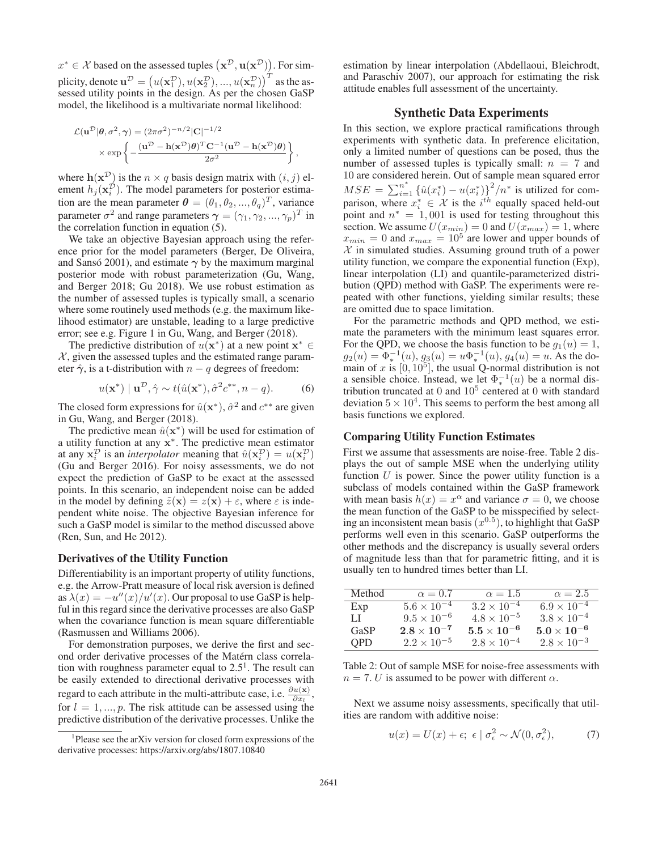$x^*$  ∈ X based on the assessed tuples  $(\mathbf{x}^D, \mathbf{u}(\mathbf{x}^D))$ . For simplicity, denote  $\mathbf{u}^{\mathcal{D}}=\left(u(\mathbf{x}_1^{\mathcal{D}}),u(\mathbf{x}_2^{\mathcal{D}}),...,u(\mathbf{x}_n^{\mathcal{D}})\right)^T$  as the assessed utility points in the design. As per the chosen GaSP model, the likelihood is a multivariate normal likelihood:

$$
\mathcal{L}(\mathbf{u}^{\mathcal{D}}|\boldsymbol{\theta}, \sigma^2, \boldsymbol{\gamma}) = (2\pi\sigma^2)^{-n/2} |\mathbf{C}|^{-1/2}
$$

$$
\times \exp\left\{-\frac{(\mathbf{u}^{\mathcal{D}} - \mathbf{h}(\mathbf{x}^{\mathcal{D}})\boldsymbol{\theta})^T \mathbf{C}^{-1} (\mathbf{u}^{\mathcal{D}} - \mathbf{h}(\mathbf{x}^{\mathcal{D}})\boldsymbol{\theta})}{2\sigma^2}\right\}
$$

,

where  $h(\mathbf{x}^D)$  is the  $n \times q$  basis design matrix with  $(i, j)$  element  $h_j(\mathbf{x}_i^D)$ . The model parameters for posterior estimation are the mean parameter  $\boldsymbol{\theta} = (\theta_1, \theta_2, ..., \theta_q)^T$ , variance parameter  $\sigma^2$  and range parameters  $\boldsymbol{\gamma} = (\gamma_1, \gamma_2, ..., \gamma_p)^T$  in the correlation function in equation (5).

We take an objective Bayesian approach using the reference prior for the model parameters (Berger, De Oliveira, and Sanso 2001), and estimate  $\gamma$  by the maximum marginal posterior mode with robust parameterization (Gu, Wang, and Berger 2018; Gu 2018). We use robust estimation as the number of assessed tuples is typically small, a scenario where some routinely used methods (e.g. the maximum likelihood estimator) are unstable, leading to a large predictive error; see e.g. Figure 1 in Gu, Wang, and Berger (2018).

The predictive distribution of  $u(\mathbf{x}^*)$  at a new point  $\mathbf{x}^* \in$  $X$ , given the assessed tuples and the estimated range parameter  $\hat{\gamma}$ , is a t-distribution with  $n - q$  degrees of freedom:

$$
u(\mathbf{x}^*) \mid \mathbf{u}^{\mathcal{D}}, \hat{\gamma} \sim t(\hat{u}(\mathbf{x}^*), \hat{\sigma}^2 c^{**}, n - q). \tag{6}
$$

The closed form expressions for  $\hat{u}(\mathbf{x}^*)$ ,  $\hat{\sigma}^2$  and  $c^{**}$  are given in Gu, Wang, and Berger (2018).

The predictive mean  $\hat{u}(\mathbf{x}^*)$  will be used for estimation of a utility function at any **x**∗. The predictive mean estimator at any  $\mathbf{x}_i^{\mathcal{D}}$  is an *interpolator* meaning that  $\hat{u}(\mathbf{x}_i^{\mathcal{D}}) = u(\mathbf{x}_i^{\mathcal{D}})$ (Gu and Berger 2016). For noisy assessments, we do not expect the prediction of GaSP to be exact at the assessed points. In this scenario, an independent noise can be added in the model by defining  $\tilde{z}(\mathbf{x}) = z(\mathbf{x}) + \varepsilon$ , where  $\varepsilon$  is independent white noise. The objective Bayesian inference for such a GaSP model is similar to the method discussed above (Ren, Sun, and He 2012).

#### Derivatives of the Utility Function

Differentiability is an important property of utility functions, e.g. the Arrow-Pratt measure of local risk aversion is defined as  $\lambda(x) = -u''(x)/u'(x)$ . Our proposal to use GaSP is helpful in this regard since the derivative processes are also GaSP when the covariance function is mean square differentiable (Rasmussen and Williams 2006).

For demonstration purposes, we derive the first and second order derivative processes of the Matern class correla- ´ tion with roughness parameter equal to  $2.5<sup>1</sup>$ . The result can be easily extended to directional derivative processes with regard to each attribute in the multi-attribute case, i.e.  $\frac{\partial u(\mathbf{x})}{\partial x_l}$ , for  $l = 1, ..., p$ . The risk attitude can be assessed using the predictive distribution of the derivative processes. Unlike the

estimation by linear interpolation (Abdellaoui, Bleichrodt, and Paraschiv 2007), our approach for estimating the risk attitude enables full assessment of the uncertainty.

#### Synthetic Data Experiments

In this section, we explore practical ramifications through experiments with synthetic data. In preference elicitation, only a limited number of questions can be posed, thus the number of assessed tuples is typically small:  $n = 7$  and 10 are considered herein. Out of sample mean squared error  $MSE = \sum_{i=1}^{n^*} {\{\hat{u}(x_i^*) - u(x_i^*)\}}^2/n^*$  is utilized for comparison, where  $x_i^* \in \mathcal{X}$  is the  $i^{th}$  equally spaced held-out point and  $n^* = 1,001$  is used for testing throughout this section. We assume  $U(x_{min})=0$  and  $U(x_{max})=1$ , where  $x_{min} = 0$  and  $x_{max} = 10^5$  are lower and upper bounds of  $X$  in simulated studies. Assuming ground truth of a power utility function, we compare the exponential function (Exp), linear interpolation (LI) and quantile-parameterized distribution (QPD) method with GaSP. The experiments were repeated with other functions, yielding similar results; these are omitted due to space limitation.

For the parametric methods and QPD method, we estimate the parameters with the minimum least squares error. For the QPD, we choose the basis function to be  $g_1(u)=1$ ,  $g_2(u) = \Phi_*^{-1}(u)$ ,  $g_3(u) = u\Phi_*^{-1}(u)$ ,  $g_4(u) = u$ . As the domain of x is  $[0, 10^5]$ , the usual Q-normal distribution is not a sensible choice. Instead, we let  $\Phi_*^{-1}(u)$  be a normal distribution truncated at  $0$  and  $10<sup>5</sup>$  centered at  $0$  with standard deviation  $5 \times 10^4$ . This seems to perform the best among all basis functions we explored.

### Comparing Utility Function Estimates

First we assume that assessments are noise-free. Table 2 displays the out of sample MSE when the underlying utility function  $U$  is power. Since the power utility function is a subclass of models contained within the GaSP framework with mean basis  $h(x) = x^{\alpha}$  and variance  $\sigma = 0$ , we choose the mean function of the GaSP to be misspecified by selecting an inconsistent mean basis  $(x^{0.5})$ , to highlight that GaSP performs well even in this scenario. GaSP outperforms the other methods and the discrepancy is usually several orders of magnitude less than that for parametric fitting, and it is usually ten to hundred times better than LI.

| Method     | $\alpha = 0.7$       | $\alpha = 1.5$       | $\alpha = 2.5$       |
|------------|----------------------|----------------------|----------------------|
| Exp        | $5.6 \times 10^{-4}$ | $3.2 \times 10^{-4}$ | $6.9 \times 10^{-4}$ |
| LL         | $9.5 \times 10^{-6}$ | $4.8 \times 10^{-5}$ | $3.8 \times 10^{-4}$ |
| GaSP       | $2.8\times10^{-7}$   | $5.5\times10^{-6}$   | $5.0\times10^{-6}$   |
| <b>OPD</b> | $2.2 \times 10^{-5}$ | $2.8 \times 10^{-4}$ | $2.8 \times 10^{-3}$ |

Table 2: Out of sample MSE for noise-free assessments with  $n = 7$ . U is assumed to be power with different  $\alpha$ .

Next we assume noisy assessments, specifically that utilities are random with additive noise:

$$
u(x) = U(x) + \epsilon; \ \epsilon \mid \sigma_{\epsilon}^{2} \sim \mathcal{N}(0, \sigma_{\epsilon}^{2}), \tag{7}
$$

<sup>&</sup>lt;sup>1</sup>Please see the arXiv version for closed form expressions of the derivative processes: https://arxiv.org/abs/1807.10840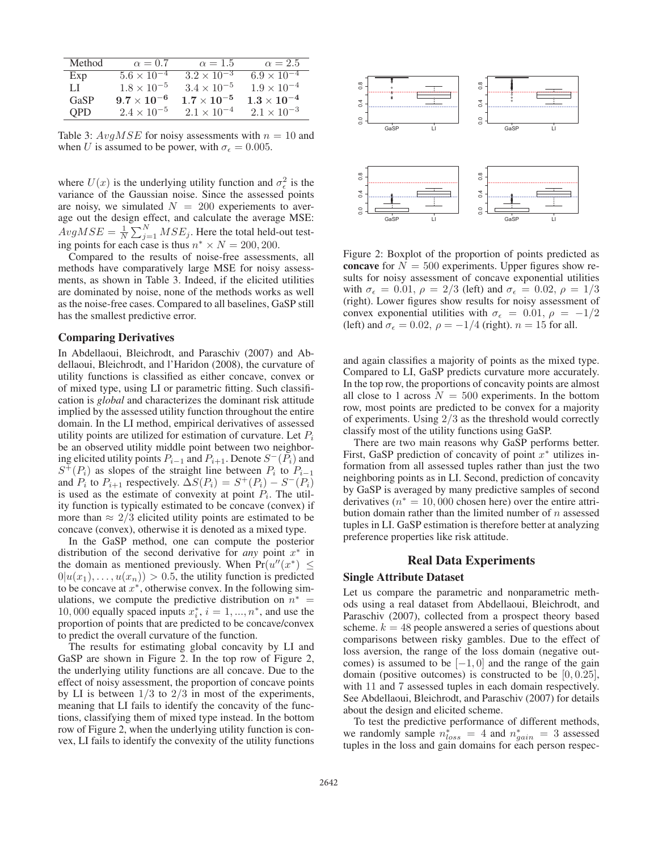| Method     | $\alpha = 0.7$       | $\alpha = 1.5$       | $\alpha = 2.5$       |
|------------|----------------------|----------------------|----------------------|
| Exp        | $5.6 \times 10^{-4}$ | $3.2 \times 10^{-3}$ | $6.9 \times 10^{-4}$ |
| LL         | $1.8 \times 10^{-5}$ | $3.4 \times 10^{-5}$ | $1.9 \times 10^{-4}$ |
| GaSP       | $9.7 \times 10^{-6}$ | $1.7 \times 10^{-5}$ | $1.3\times10^{-4}$   |
| <b>OPD</b> | $2.4 \times 10^{-5}$ | $2.1 \times 10^{-4}$ | $2.1 \times 10^{-3}$ |

Table 3:  $AvgMSE$  for noisy assessments with  $n = 10$  and when U is assumed to be power, with  $\sigma_{\epsilon} = 0.005$ .

where  $U(x)$  is the underlying utility function and  $\sigma_{\epsilon}^2$  is the variance of the Gaussian noise. Since the assessed points are noisy, we simulated  $N = 200$  experiements to average out the design effect, and calculate the average MSE:  $AvgMSE = \frac{1}{N} \sum_{j=1}^{N} MSE_j$ . Here the total held-out testing points for each case is thus  $n^* \times N = 200, 200$ .

Compared to the results of noise-free assessments, all methods have comparatively large MSE for noisy assessments, as shown in Table 3. Indeed, if the elicited utilities are dominated by noise, none of the methods works as well as the noise-free cases. Compared to all baselines, GaSP still has the smallest predictive error.

### Comparing Derivatives

In Abdellaoui, Bleichrodt, and Paraschiv (2007) and Abdellaoui, Bleichrodt, and l'Haridon (2008), the curvature of utility functions is classified as either concave, convex or of mixed type, using LI or parametric fitting. Such classification is *global* and characterizes the dominant risk attitude implied by the assessed utility function throughout the entire domain. In the LI method, empirical derivatives of assessed utility points are utilized for estimation of curvature. Let  $P_i$ be an observed utility middle point between two neighboring elicited utility points  $P_{i-1}$  and  $P_{i+1}$ . Denote  $S^-(P_i)$  and  $S^{+}(P_i)$  as slopes of the straight line between  $P_i$  to  $P_{i-1}$ and  $P_i$  to  $P_{i+1}$  respectively.  $\Delta S(P_i) = S^+(P_i) - S^-(P_i)$ is used as the estimate of convexity at point  $P_i$ . The utility function is typically estimated to be concave (convex) if more than  $\approx 2/3$  elicited utility points are estimated to be concave (convex), otherwise it is denoted as a mixed type.

In the GaSP method, one can compute the posterior distribution of the second derivative for *any* point  $x^*$  in the domain as mentioned previously. When  $Pr(u''(x^*) \leq$  $0|u(x_1),...,u(x_n))>0.5$ , the utility function is predicted to be concave at  $x^*$ , otherwise convex. In the following simulations, we compute the predictive distribution on  $n^* =$ 10, 000 equally spaced inputs  $x_i^*, i = 1, ..., n^*$ , and use the proportion of points that are predicted to be concave/convex to predict the overall curvature of the function.

The results for estimating global concavity by LI and GaSP are shown in Figure 2. In the top row of Figure 2, the underlying utility functions are all concave. Due to the effect of noisy assessment, the proportion of concave points by LI is between  $1/3$  to  $2/3$  in most of the experiments, meaning that LI fails to identify the concavity of the functions, classifying them of mixed type instead. In the bottom row of Figure 2, when the underlying utility function is convex, LI fails to identify the convexity of the utility functions



Figure 2: Boxplot of the proportion of points predicted as concave for  $N = 500$  experiments. Upper figures show results for noisy assessment of concave exponential utilities with  $\sigma_{\epsilon} = 0.01$ ,  $\rho = 2/3$  (left) and  $\sigma_{\epsilon} = 0.02$ ,  $\rho = 1/3$ (right). Lower figures show results for noisy assessment of convex exponential utilities with  $\sigma_{\epsilon} = 0.01, \rho = -1/2$ (left) and  $\sigma_{\epsilon} = 0.02$ ,  $\rho = -1/4$  (right).  $n = 15$  for all.

and again classifies a majority of points as the mixed type. Compared to LI, GaSP predicts curvature more accurately. In the top row, the proportions of concavity points are almost all close to 1 across  $N = 500$  experiments. In the bottom row, most points are predicted to be convex for a majority of experiments. Using 2/3 as the threshold would correctly classify most of the utility functions using GaSP.

There are two main reasons why GaSP performs better. First, GaSP prediction of concavity of point  $x^*$  utilizes information from all assessed tuples rather than just the two neighboring points as in LI. Second, prediction of concavity by GaSP is averaged by many predictive samples of second derivatives ( $n^* = 10,000$  chosen here) over the entire attribution domain rather than the limited number of  $n$  assessed tuples in LI. GaSP estimation is therefore better at analyzing preference properties like risk attitude.

### Real Data Experiments

### Single Attribute Dataset

Let us compare the parametric and nonparametric methods using a real dataset from Abdellaoui, Bleichrodt, and Paraschiv (2007), collected from a prospect theory based scheme.  $k = 48$  people answered a series of questions about comparisons between risky gambles. Due to the effect of loss aversion, the range of the loss domain (negative outcomes) is assumed to be  $[-1, 0]$  and the range of the gain domain (positive outcomes) is constructed to be  $[0, 0.25]$ , with 11 and 7 assessed tuples in each domain respectively. See Abdellaoui, Bleichrodt, and Paraschiv (2007) for details about the design and elicited scheme.

To test the predictive performance of different methods, we randomly sample  $n_{loss}^* = 4$  and  $n_{gain}^* = 3$  assessed tuples in the loss and gain domains for each person respec-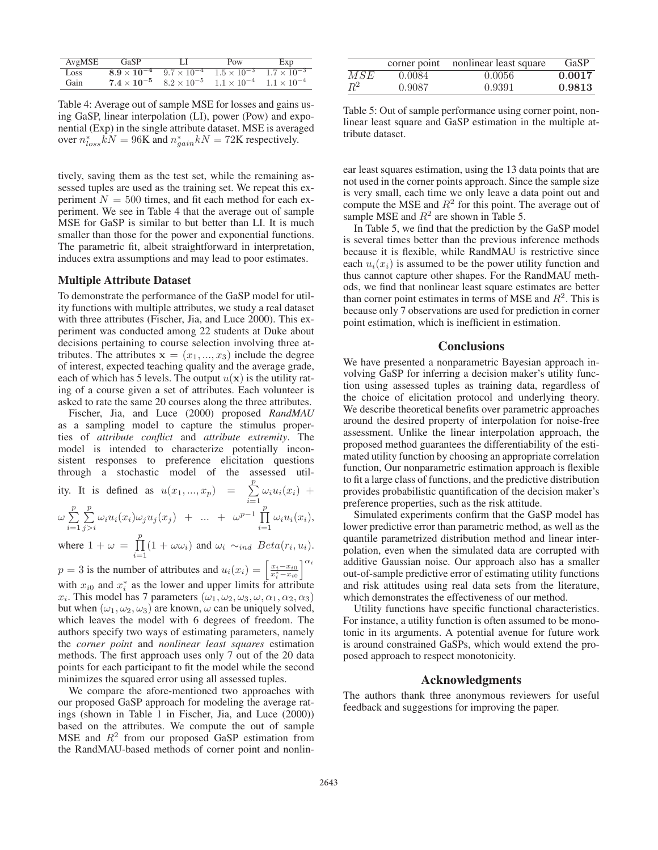| AvgMSE | GaSP                 |                      | Pow                  | Exp                  |
|--------|----------------------|----------------------|----------------------|----------------------|
| Loss   | $8.9 \times 10^{-4}$ | $9.7 \times 10^{-4}$ | $1.5 \times 10^{-3}$ | $1.7 \times 10^{-3}$ |
| Gain   | $7.4\times10^{-5}$   | $8.2 \times 10^{-5}$ | $1.1 \times 10^{-4}$ | $1.1 \times 10^{-4}$ |

Table 4: Average out of sample MSE for losses and gains using GaSP, linear interpolation (LI), power (Pow) and exponential (Exp) in the single attribute dataset. MSE is averaged over  $n_{loss}^* kN = 96$ K and  $n_{gain}^* kN = 72$ K respectively.

tively, saving them as the test set, while the remaining assessed tuples are used as the training set. We repeat this experiment  $N = 500$  times, and fit each method for each experiment. We see in Table 4 that the average out of sample MSE for GaSP is similar to but better than LI. It is much smaller than those for the power and exponential functions. The parametric fit, albeit straightforward in interpretation, induces extra assumptions and may lead to poor estimates.

### Multiple Attribute Dataset

To demonstrate the performance of the GaSP model for utility functions with multiple attributes, we study a real dataset with three attributes (Fischer, Jia, and Luce 2000). This experiment was conducted among 22 students at Duke about decisions pertaining to course selection involving three attributes. The attributes  $\mathbf{x} = (x_1, ..., x_3)$  include the degree of interest, expected teaching quality and the average grade, each of which has 5 levels. The output  $u(\mathbf{x})$  is the utility rating of a course given a set of attributes. Each volunteer is asked to rate the same 20 courses along the three attributes.

Fischer, Jia, and Luce (2000) proposed *RandMAU* as a sampling model to capture the stimulus properties of *attribute conflict* and *attribute extremity*. The model is intended to characterize potentially inconsistent responses to preference elicitation questions through a stochastic model of the assessed utility. It is defined as  $u(x_1,...,x_p) = \sum_{i=1}^p \omega_i u_i(x_i) +$  $\omega \sum_{i=1}^{p}$  $i=1$  $\sum_{j>i}^{p} \omega_i u_i(x_i) \omega_j u_j(x_j) + \dots + \omega^{p-1} \prod_{i=1}^{p} \omega_i u_i(x_i),$ where  $1 + \omega = \prod_{r=1}^{p}$  $\prod_{i=1} (1 + \omega \omega_i)$  and  $\omega_i \sim_{ind} Beta(r_i, u_i)$ .  $p = 3$  is the number of attributes and  $u_i(x_i) = \left[\frac{x_i - x_{i0}}{x_i^* - x_{i0}}\right]$  $\big]$ <sup> $\alpha_i$ </sup> with  $x_{i0}$  and  $x_i^*$  as the lower and upper limits for attribute  $x_i$ . This model has 7 parameters  $(\omega_1, \omega_2, \omega_3, \omega, \alpha_1, \alpha_2, \alpha_3)$ but when  $(\omega_1, \omega_2, \omega_3)$  are known,  $\omega$  can be uniquely solved, which leaves the model with 6 degrees of freedom. The

authors specify two ways of estimating parameters, namely the *corner point* and *nonlinear least squares* estimation methods. The first approach uses only 7 out of the 20 data points for each participant to fit the model while the second minimizes the squared error using all assessed tuples.

We compare the afore-mentioned two approaches with our proposed GaSP approach for modeling the average ratings (shown in Table 1 in Fischer, Jia, and Luce (2000)) based on the attributes. We compute the out of sample MSE and  $R^2$  from our proposed GaSP estimation from the RandMAU-based methods of corner point and nonlin-

|         | corner point | nonlinear least square | GaSP   |
|---------|--------------|------------------------|--------|
| MSE     | 0.0084       | 0.0056                 | 0.0017 |
| $\,R^2$ | 0.9087       | 0.9391                 | 0.9813 |

Table 5: Out of sample performance using corner point, nonlinear least square and GaSP estimation in the multiple attribute dataset.

ear least squares estimation, using the 13 data points that are not used in the corner points approach. Since the sample size is very small, each time we only leave a data point out and compute the MSE and  $R^2$  for this point. The average out of sample MSE and  $R^2$  are shown in Table 5.

In Table 5, we find that the prediction by the GaSP model is several times better than the previous inference methods because it is flexible, while RandMAU is restrictive since each  $u_i(x_i)$  is assumed to be the power utility function and thus cannot capture other shapes. For the RandMAU methods, we find that nonlinear least square estimates are better than corner point estimates in terms of MSE and  $R<sup>2</sup>$ . This is because only 7 observations are used for prediction in corner point estimation, which is inefficient in estimation.

#### **Conclusions**

We have presented a nonparametric Bayesian approach involving GaSP for inferring a decision maker's utility function using assessed tuples as training data, regardless of the choice of elicitation protocol and underlying theory. We describe theoretical benefits over parametric approaches around the desired property of interpolation for noise-free assessment. Unlike the linear interpolation approach, the proposed method guarantees the differentiability of the estimated utility function by choosing an appropriate correlation function, Our nonparametric estimation approach is flexible to fit a large class of functions, and the predictive distribution provides probabilistic quantification of the decision maker's preference properties, such as the risk attitude.

Simulated experiments confirm that the GaSP model has lower predictive error than parametric method, as well as the quantile parametrized distribution method and linear interpolation, even when the simulated data are corrupted with additive Gaussian noise. Our approach also has a smaller out-of-sample predictive error of estimating utility functions and risk attitudes using real data sets from the literature, which demonstrates the effectiveness of our method.

Utility functions have specific functional characteristics. For instance, a utility function is often assumed to be monotonic in its arguments. A potential avenue for future work is around constrained GaSPs, which would extend the proposed approach to respect monotonicity.

#### Acknowledgments

The authors thank three anonymous reviewers for useful feedback and suggestions for improving the paper.